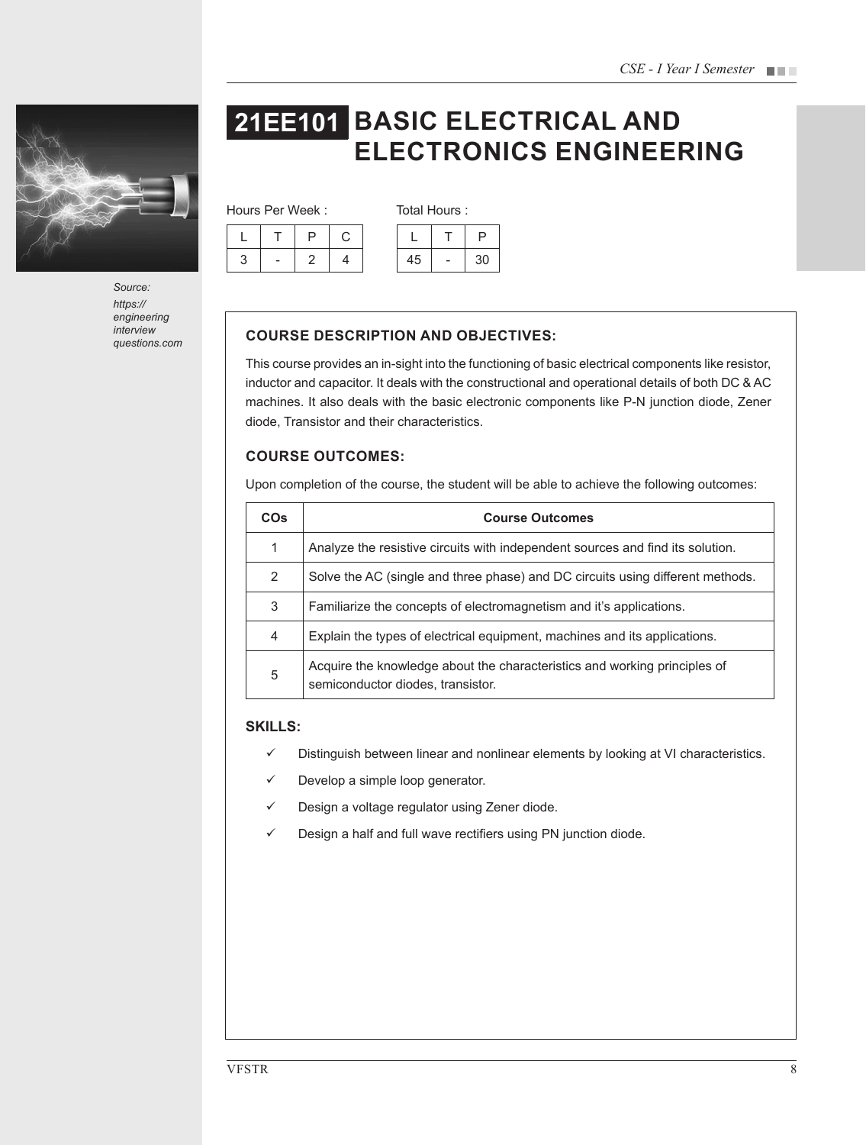

*Source: https:// engineering interview* 

# **21EE101 BASIC ELECTRICAL AND ELECTRONICS ENGINEERING**

Hours Per Week : Total Hours :

|        | г | ت |    |    |
|--------|---|---|----|----|
| っ<br>c |   |   | 45 | 30 |

# **COURSE DESCRIPTION AND OBJECTIVES:**

This course provides an in-sight into the functioning of basic electrical components like resistor, inductor and capacitor. It deals with the constructional and operational details of both DC & AC machines. It also deals with the basic electronic components like P-N junction diode, Zener diode, Transistor and their characteristics.

# **COURSE OUTCOMES:**

Upon completion of the course, the student will be able to achieve the following outcomes:

| <b>CO<sub>s</sub></b> | <b>Course Outcomes</b>                                                                                         |  |  |
|-----------------------|----------------------------------------------------------------------------------------------------------------|--|--|
| 1                     | Analyze the resistive circuits with independent sources and find its solution.                                 |  |  |
| 2                     | Solve the AC (single and three phase) and DC circuits using different methods.                                 |  |  |
| 3                     | Familiarize the concepts of electromagnetism and it's applications.                                            |  |  |
| 4                     | Explain the types of electrical equipment, machines and its applications.                                      |  |  |
| 5                     | Acquire the knowledge about the characteristics and working principles of<br>semiconductor diodes, transistor. |  |  |

## **SKILLS:**

- $\checkmark$  Distinguish between linear and nonlinear elements by looking at VI characteristics.
- $\checkmark$  Develop a simple loop generator.
- $\checkmark$  Design a voltage regulator using Zener diode.
- $\checkmark$  Design a half and full wave rectifiers using PN junction diode.